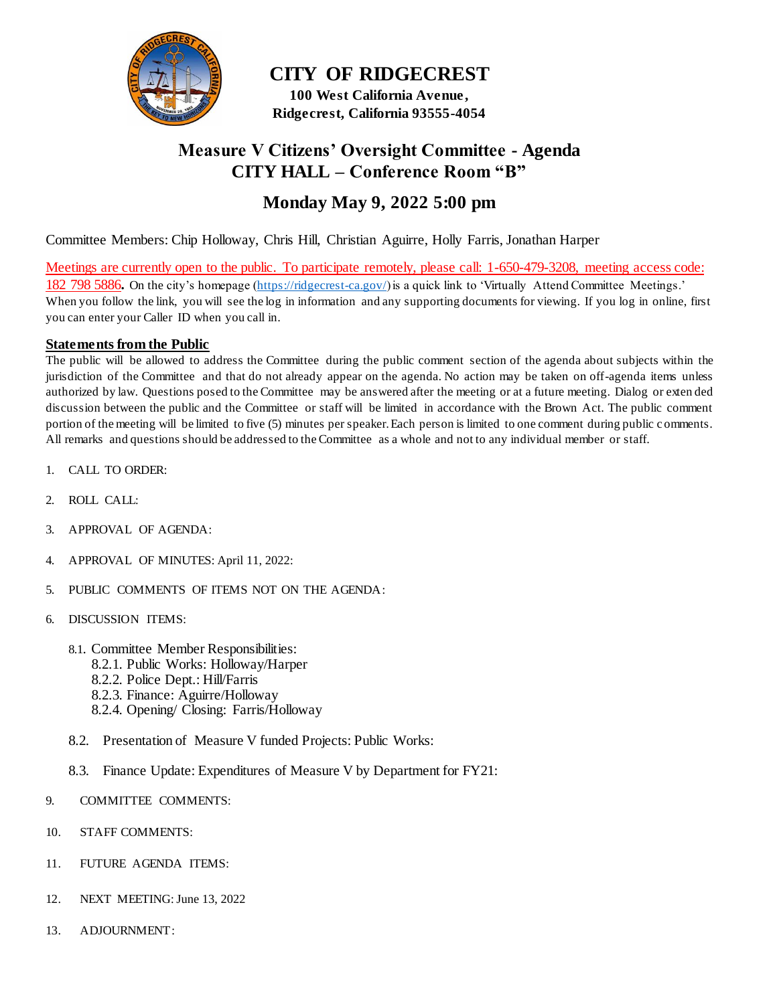

**CITY OF RIDGECREST 100 West California Avenue , Ridgecrest, California 93555-4054**

### **Measure V Citizens' Oversight Committee - Agenda CITY HALL – Conference Room "B"**

#### **Monday May 9, 2022 5:00 pm**

Committee Members: Chip Holloway, Chris Hill, Christian Aguirre, Holly Farris, Jonathan Harper

Meetings are currently open to the public. To participate remotely, please call: 1-650-479-3208, meeting access code: 182 798 5886**.** On the city's homepage [\(https://ridgecrest-ca.gov/\)](https://ridgecrest-ca.gov/) is a quick link to 'Virtually Attend Committee Meetings.' When you follow the link, you will see the log in information and any supporting documents for viewing. If you log in online, first you can enter your Caller ID when you call in.

#### **Statements from the Public**

The public will be allowed to address the Committee during the public comment section of the agenda about subjects within the jurisdiction of the Committee and that do not already appear on the agenda. No action may be taken on off-agenda items unless authorized by law. Questions posed to the Committee may be answered after the meeting or at a future meeting. Dialog or exten ded discussion between the public and the Committee or staff will be limited in accordance with the Brown Act. The public comment portion of the meeting will be limited to five (5) minutes per speaker. Each person is limited to one comment during public c omments. All remarks and questions should be addressed to the Committee as a whole and not to any individual member or staff.

- 1. CALL TO ORDER:
- 2. ROLL CALL:
- 3. APPROVAL OF AGENDA:
- 4. APPROVAL OF MINUTES: April 11, 2022:
- 5. PUBLIC COMMENTS OF ITEMS NOT ON THE AGENDA:
- 6. DISCUSSION ITEMS:
	- 8.1. Committee Member Responsibilities:
		- 8.2.1. Public Works: Holloway/Harper
		- 8.2.2. Police Dept.: Hill/Farris
		- 8.2.3. Finance: Aguirre/Holloway
		- 8.2.4. Opening/ Closing: Farris/Holloway
	- 8.2. Presentation of Measure V funded Projects: Public Works:
	- 8.3. Finance Update: Expenditures of Measure V by Department for FY21:
- 9. COMMITTEE COMMENTS:
- 10. STAFF COMMENTS:
- 11. FUTURE AGENDA ITEMS:
- 12. NEXT MEETING: June 13, 2022
- 13. ADJOURNMENT: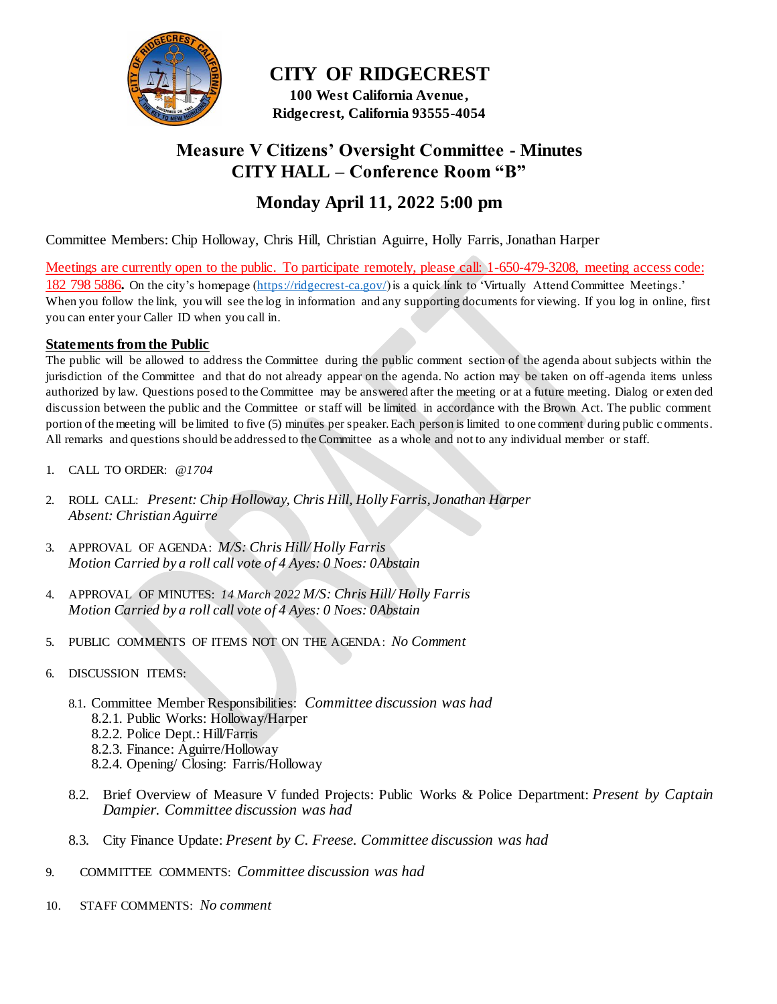

**CITY OF RIDGECREST 100 West California Avenue ,** 

**Ridgecrest, California 93555-4054**

## **Measure V Citizens' Oversight Committee - Minutes CITY HALL – Conference Room "B"**

## **Monday April 11, 2022 5:00 pm**

Committee Members: Chip Holloway, Chris Hill, Christian Aguirre, Holly Farris, Jonathan Harper

Meetings are currently open to the public. To participate remotely, please call: 1-650-479-3208, meeting access code: 182 798 5886**.** On the city's homepage [\(https://ridgecrest-ca.gov/\)](https://ridgecrest-ca.gov/) is a quick link to 'Virtually Attend Committee Meetings.' When you follow the link, you will see the log in information and any supporting documents for viewing. If you log in online, first you can enter your Caller ID when you call in.

#### **Statements from the Public**

The public will be allowed to address the Committee during the public comment section of the agenda about subjects within the jurisdiction of the Committee and that do not already appear on the agenda. No action may be taken on off-agenda items unless authorized by law. Questions posed to the Committee may be answered after the meeting or at a future meeting. Dialog or exten ded discussion between the public and the Committee or staff will be limited in accordance with the Brown Act. The public comment portion of the meeting will be limited to five (5) minutes per speaker. Each person is limited to one comment during public c omments. All remarks and questions should be addressed to the Committee as a whole and not to any individual member or staff.

- 1. CALL TO ORDER: *@1704*
- 2. ROLL CALL: *Present: Chip Holloway, Chris Hill, Holly Farris, Jonathan Harper Absent: Christian Aguirre*
- 3. APPROVAL OF AGENDA: *M/S: Chris Hill/ Holly Farris Motion Carried by a roll call vote of 4 Ayes: 0 Noes: 0Abstain*
- 4. APPROVAL OF MINUTES: *14 March 2022 M/S: Chris Hill/ Holly Farris Motion Carried by a roll call vote of 4 Ayes: 0 Noes: 0Abstain*
- 5. PUBLIC COMMENTS OF ITEMS NOT ON THE AGENDA: *No Comment*
- 6. DISCUSSION ITEMS:
	- 8.1. Committee Member Responsibilities: *Committee discussion was had*
		- 8.2.1. Public Works: Holloway/Harper
		- 8.2.2. Police Dept.: Hill/Farris
		- 8.2.3. Finance: Aguirre/Holloway
		- 8.2.4. Opening/ Closing: Farris/Holloway
	- 8.2. Brief Overview of Measure V funded Projects: Public Works & Police Department: *Present by Captain Dampier. Committee discussion was had*
	- 8.3. City Finance Update: *Present by C. Freese. Committee discussion was had*
- 9. COMMITTEE COMMENTS: *Committee discussion was had*
- 10. STAFF COMMENTS: *No comment*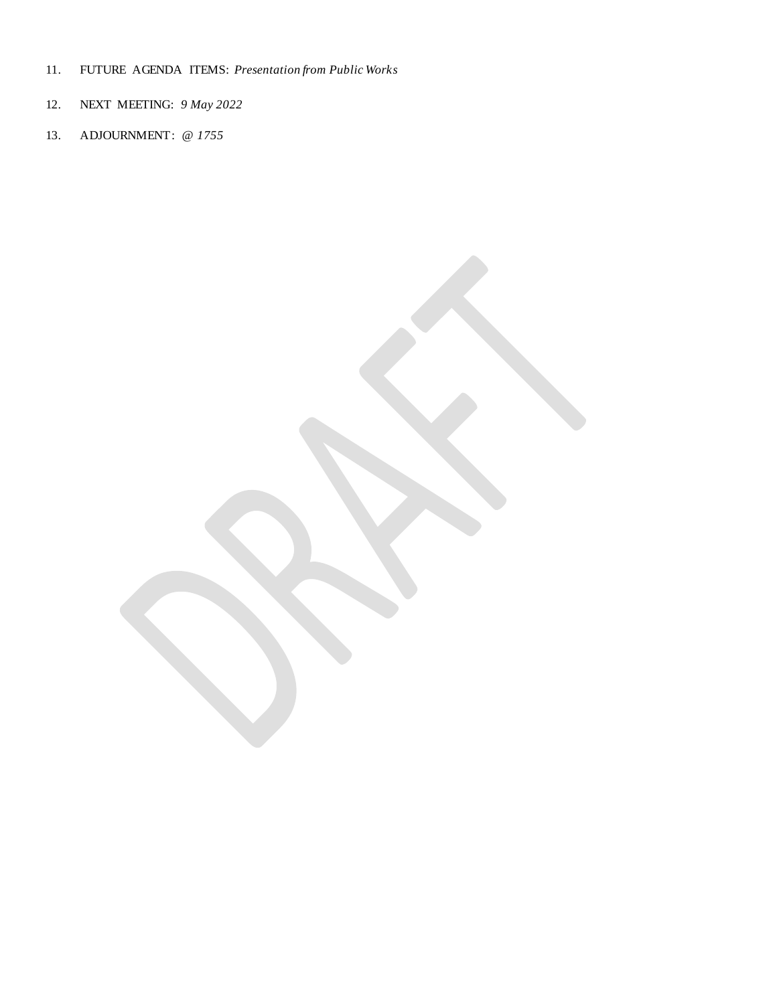- 11. FUTURE AGENDA ITEMS: *Presentation from Public Works*
- 12. NEXT MEETING: *9 May 2022*
- 13. ADJOURNMENT: *@ 1755*